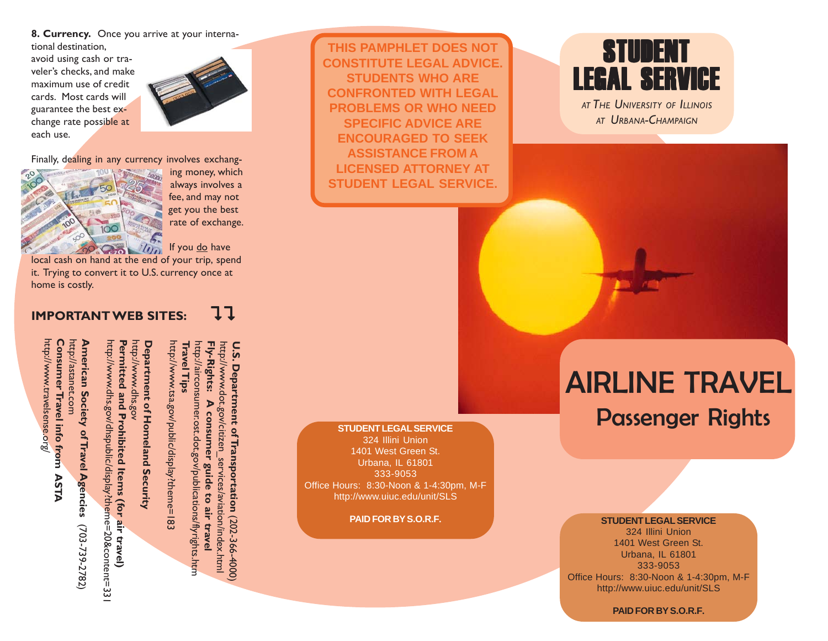**8. Currency.** Once you arrive at your international destination,

avoid using cash or traveler's checks, and make maximum use of credit cards. Most cards will guarantee the best exchange rate possible at each use.



Finally, dealing in any currency involves exchang-



http://www.travelsense.org/

http://www.travelsense.org

**Consumer Travel info from ASTA**

Consumer Travel info from ASTA

http://astanet.com

http://astanet.com

 ing money, which always involves a fee, and may not get you the best rate of exchange.

 $\mathcal{U}_{\Omega}$  If you do have

local cash on hand at the end of your trip, spend it. Trying to convert it to U.S. currency once at home is costly.

### **IMPORTANT WEB SITES:** 11



**American Society of Travel Agencies**  American Society of Travel Agencies http://www.dhs.gov/dhspublic/display?theme=20&content=331 http://www.dhs.gov/dhspublic/display?theme=20&content=331 Permitted and Prohibited Items (for air travel) **Permitted and Prohibited Items (for air travel)** http://www.dhs.gov http://www.dhs.gov **Department of Homeland Security Department of Homeland Security** http://www.tsa.gov/public/display?theme=183 http://www.tsa.gov/public/display?theme=183 **Travel Tips Travel Tips** Fly-Rights: (703-739-2782) (703-739-2782)

http://airconsumer.ost.dot.gov/publications/flyrights.htm **Fly-Rights: A consumer guide to air travel** http://www.dot.gov/citizen\_services/aviation/index.html **U.S. Department of Transportation** nttp://airconsumer.ost.dot.gov/publications/flyrights.htm<br>= nttp://www.dot.gov/citizen U.S. Department of Transportation (202-366-4000) A consumer guide to air travel services/aviation/index.html (202-366-4000)

**THIS PAMPHLET DOES NOT CONSTITUTE LEGAL ADVICE. STUDENTS WHO ARE CONFRONTED WITH LEGAL PROBLEMS OR WHO NEED SPECIFIC ADVICE ARE ENCOURAGED TO SEEK ASSISTANCE FROM A LICENSED ATTORNEY AT STUDENT LEGAL SERVICE.**

### **STUDENT LEGAL SERVICE**

324 Illini Union 1401 West Green St. Urbana, IL 61801 333-9053 Office Hours: 8:30-Noon & 1-4:30pm, M-F http://www.uiuc.edu/unit/SLS

**PAID FOR BY S.O.R.F.**

## **STUDENT** LEGAL SERVICE

*AT THE UNIVERSITY OF ILLINOIS AT URBANA-CHAMPAIGN*

# AIRLINE TRAVEL Passenger Rights

**STUDENT LEGAL SERVICE**

324 Illini Union 1401 West Green St. Urbana, IL 61801 333-9053 Office Hours: 8:30-Noon & 1-4:30pm, M-F http://www.uiuc.edu/unit/SLS

**PAID FOR BY S.O.R.F.**